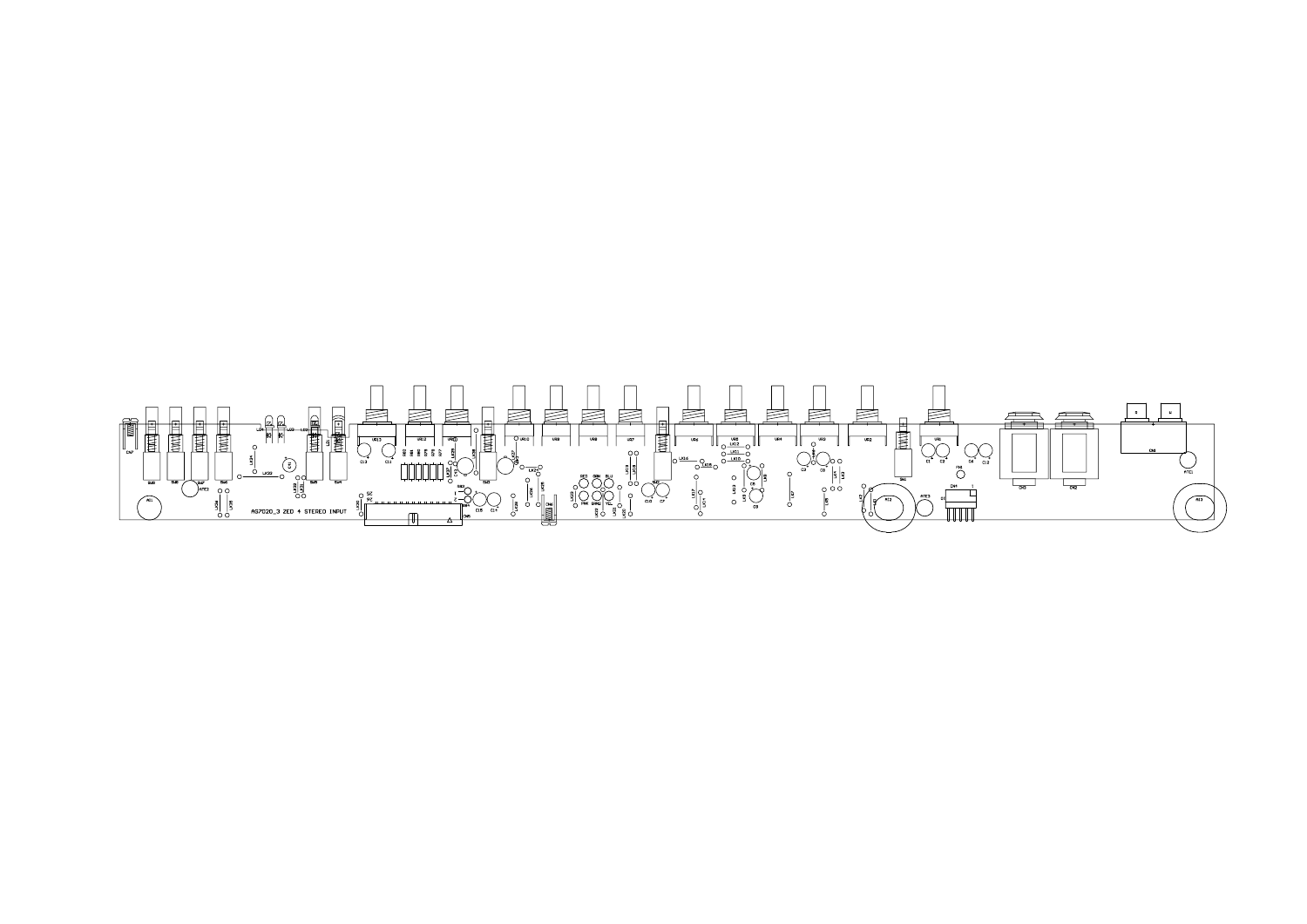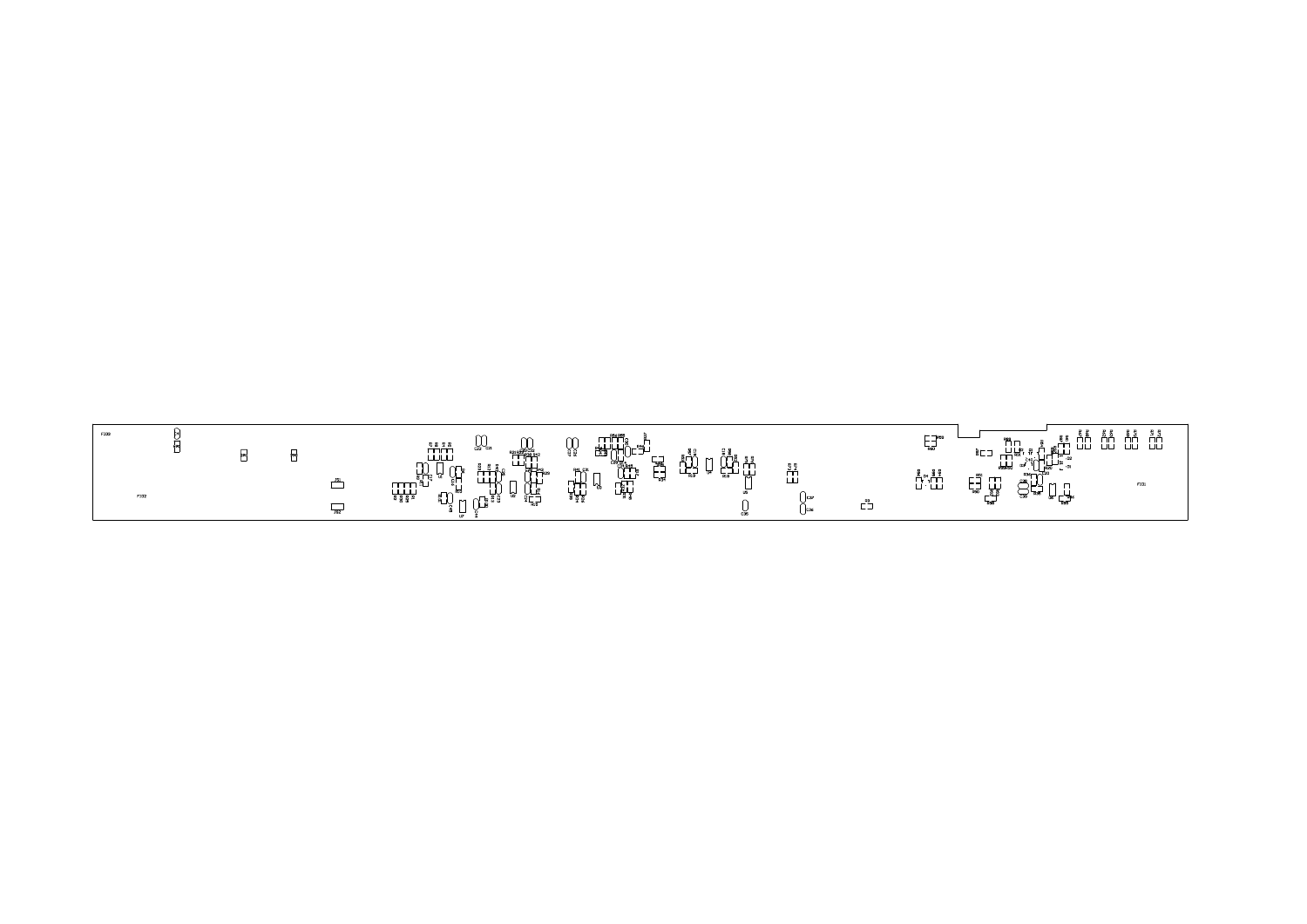| FID3        |  |                          | $U_{c22}$<br>UU<br>R21 R23 C32<br>ITT R38 R42                                                                                                 | ┌┰┑╒╤<br>╒╅╉┰┤┌┠┪┥<br>┌╶╾┥<br>ប៉ាំ                                                                                                                                                                                                                                                                                                                                                                                                                                                                                                                                                                                                                                        | $\sim$ $\sim$<br>∄ி∂<br>ا ۾ ب<br>$\mathbf{r}$ |                |             | $ \mathcal{L}$ $\mathcal{L}$<br>下の                                                                                                                                                                                                                                                                                                            | $E_{\rm{c}}$          |
|-------------|--|--------------------------|-----------------------------------------------------------------------------------------------------------------------------------------------|---------------------------------------------------------------------------------------------------------------------------------------------------------------------------------------------------------------------------------------------------------------------------------------------------------------------------------------------------------------------------------------------------------------------------------------------------------------------------------------------------------------------------------------------------------------------------------------------------------------------------------------------------------------------------|-----------------------------------------------|----------------|-------------|-----------------------------------------------------------------------------------------------------------------------------------------------------------------------------------------------------------------------------------------------------------------------------------------------------------------------------------------------|-----------------------|
| <b>FID2</b> |  | $\overline{\phantom{a}}$ | └┸┘╎╷╏╷<br>┌┌╏╶┞┥┥╕<br>┌┌┌┞ <u>╶╿</u><br>┌┌┌┞ <u>╵</u><br>╖<br>R 型 R<br>يلي<br>م<br>ីH្<br>щщх<br>▔▔▔▔<br>▕▁▏▏▏<br>▗▏▘▒▝<br>لہا<br>U⊒<br>않을≊다 | 딣<br>$\begin{array}{c}\n\mathbb{E}\left[\begin{array}{c}\mathbb{E}\left[\begin{array}{c} \mathbb{E}\left[\begin{array}{c} \mathbb{E}\left[\begin{array}{c} \mathbb{E}\left[\begin{array}{c} \mathbb{E}\left[\begin{array}{c} \mathbb{E}\left[\begin{array}{c} \mathbb{E}\left[\begin{array}{c} \mathbb{E}\left[\begin{array}{c} \mathbb{E}\left[\begin{array}{c} \mathbb{E}\left[\begin{array}{c} \mathbb{E}\left[\begin{array}{c} \mathbb{E}\left[\begin{array}{c} \mathbb{E}\left[\begin{array}{c} \mathbb{E}\left[\begin{array}{c} \mathbb$<br>$\mathbb{R}^{41}$ $\mathbb{C}^{31}$<br>⊢⊣<br>$\overline{\phantom{0}}$<br>$-$ <sub>R34</sub><br>┌┟╅┦<br>╘╝┙┇<br>╩┸┋<br>₩ | للية<br>سيا<br>بلي<br>U5                      | ਟ ਟ<br>ش<br>سا |             | $\begin{picture}(45,17) \put(0,0){\line(1,0){155}} \put(15,0){\line(1,0){155}} \put(15,0){\line(1,0){155}} \put(15,0){\line(1,0){155}} \put(15,0){\line(1,0){155}} \put(15,0){\line(1,0){155}} \put(15,0){\line(1,0){155}} \put(15,0){\line(1,0){155}} \put(15,0){\line(1,0){155}} \put(15,0){\line(1,0){155}} \put(15,0){\line(1,0){155}} \$ | <b>R51</b><br>⊨⊣<br>ᇡ |
|             |  | $\frac{1}{152}$          | U⊔e<br>¤⊑⊐<br>$\Box$<br>$\ddot{a}$ $\Box$<br>U <sub>2</sub>                                                                                   |                                                                                                                                                                                                                                                                                                                                                                                                                                                                                                                                                                                                                                                                           | C35                                           | Тсэ<br>C36     | $-$<br>—  — |                                                                                                                                                                                                                                                                                                                                               |                       |

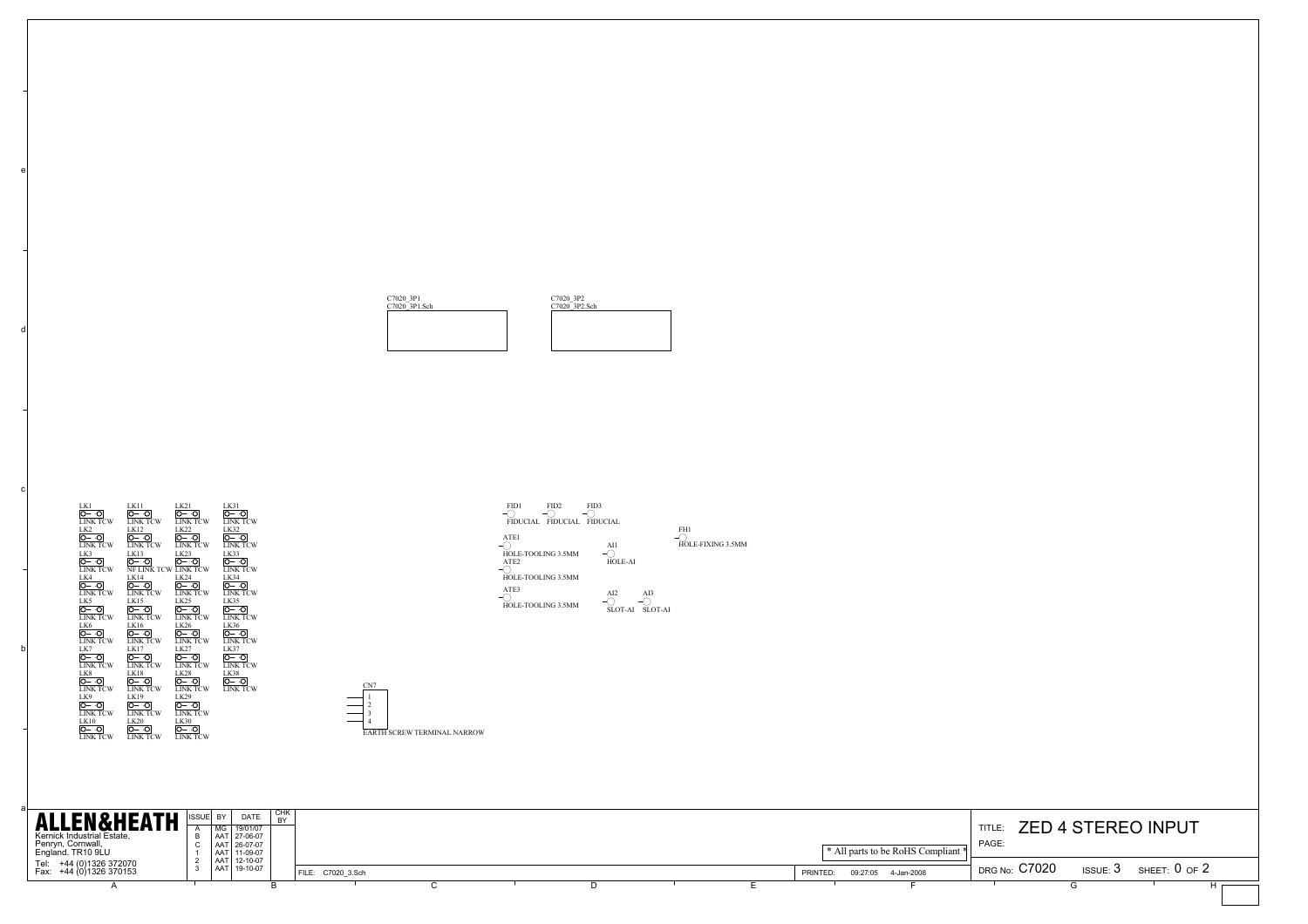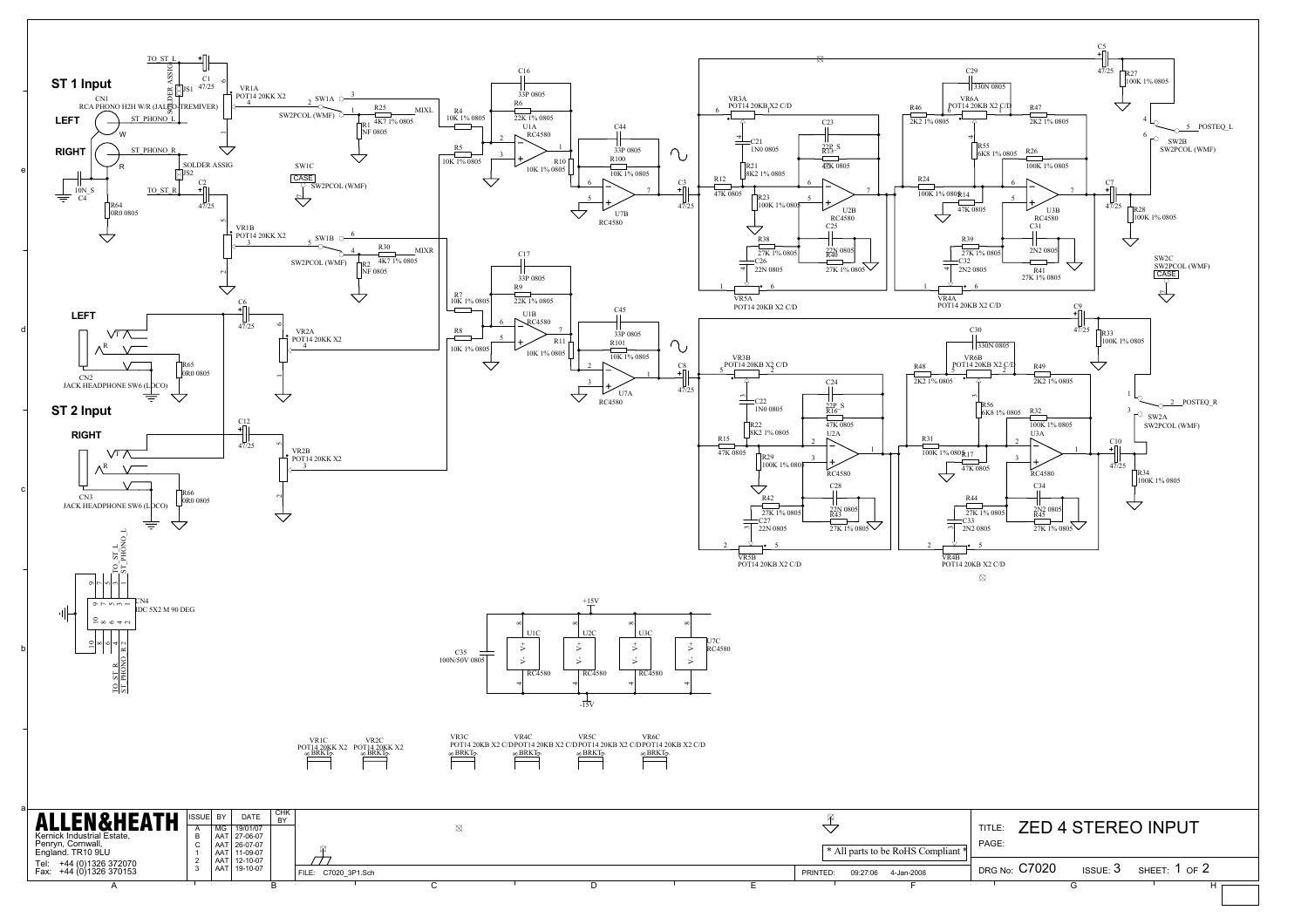